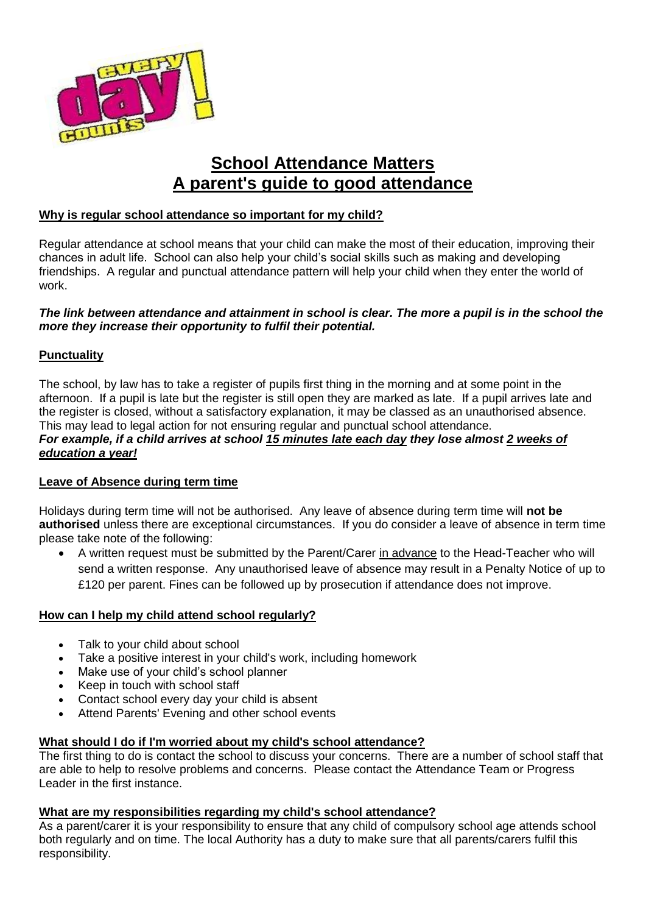

# **School Attendance Matters A parent's guide to good attendance**

# **Why is regular school attendance so important for my child?**

Regular attendance at school means that your child can make the most of their education, improving their chances in adult life. School can also help your child's social skills such as making and developing friendships. A regular and punctual attendance pattern will help your child when they enter the world of work.

#### *The link between attendance and attainment in school is clear. The more a pupil is in the school the more they increase their opportunity to fulfil their potential.*

# **Punctuality**

The school, by law has to take a register of pupils first thing in the morning and at some point in the afternoon. If a pupil is late but the register is still open they are marked as late. If a pupil arrives late and the register is closed, without a satisfactory explanation, it may be classed as an unauthorised absence. This may lead to legal action for not ensuring regular and punctual school attendance. *For example, if a child arrives at school 15 minutes late each day they lose almost 2 weeks of education a year!* 

#### **Leave of Absence during term time**

Holidays during term time will not be authorised. Any leave of absence during term time will **not be authorised** unless there are exceptional circumstances. If you do consider a leave of absence in term time please take note of the following:

 A written request must be submitted by the Parent/Carer in advance to the Head-Teacher who will send a written response. Any unauthorised leave of absence may result in a Penalty Notice of up to £120 per parent. Fines can be followed up by prosecution if attendance does not improve.

#### **How can I help my child attend school regularly?**

- Talk to your child about school
- Take a positive interest in your child's work, including homework
- Make use of your child's school planner
- Keep in touch with school staff
- Contact school every day your child is absent
- Attend Parents' Evening and other school events

#### **What should I do if I'm worried about my child's school attendance?**

The first thing to do is contact the school to discuss your concerns. There are a number of school staff that are able to help to resolve problems and concerns. Please contact the Attendance Team or Progress Leader in the first instance.

#### **What are my responsibilities regarding my child's school attendance?**

As a parent/carer it is your responsibility to ensure that any child of compulsory school age attends school both regularly and on time. The local Authority has a duty to make sure that all parents/carers fulfil this responsibility.